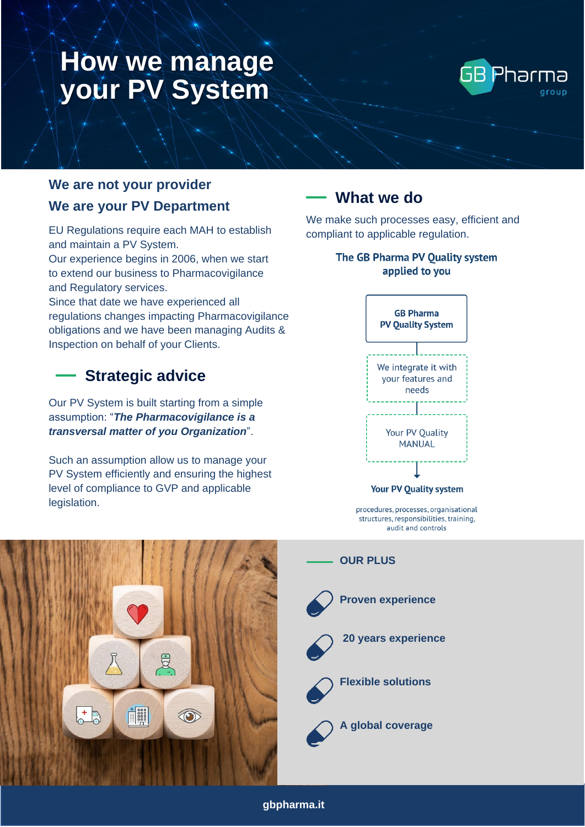# **How we manage your PV System**



### **We are not your provider We are your PV Department**

EU Regulations require each MAH to establish and maintain a PV System.

Our experience begins in 2006, when we start to extend our business to Pharmacovigilance and Regulatory services.

Since that date we have experienced all regulations changes impacting Pharmacovigilance obligations and we have been managing Audits & Inspection on behalf of your Clients.

## **Strategic advice**

Our PV System is built starting from a simple assumption: "*The Pharmacovigilance is a transversal matter of you Organization*".

Such an assumption allow us to manage your PV System efficiently and ensuring the highest level of compliance to GVP and applicable legislation.

## **What we do**

We make such processes easy, efficient and compliant to applicable regulation.

### The GB Pharma PV Quality system applied to you



Your PV Quality system

procedures, processes, organisational structures, responsibilities, training, audit and controls